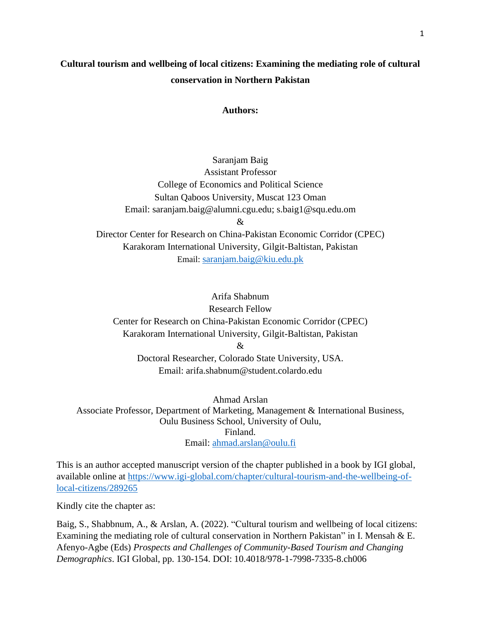# **Cultural tourism and wellbeing of local citizens: Examining the mediating role of cultural conservation in Northern Pakistan**

#### **Authors:**

Saranjam Baig Assistant Professor College of Economics and Political Science Sultan Qaboos University, Muscat 123 Oman Email: saranjam.baig@alumni.cgu.edu; s.baig1@squ.edu.om & Director Center for Research on China-Pakistan Economic Corridor (CPEC) Karakoram International University, Gilgit-Baltistan, Pakistan

Email: [saranjam.baig@kiu.edu.pk](mailto:saranjam.baig@kiu.edu.pk)

## Arifa Shabnum

Research Fellow

Center for Research on China-Pakistan Economic Corridor (CPEC) Karakoram International University, Gilgit-Baltistan, Pakistan

&

Doctoral Researcher, Colorado State University, USA. Email: arifa.shabnum@student.colardo.edu

Ahmad Arslan Associate Professor, Department of Marketing, Management & International Business, Oulu Business School, University of Oulu, Finland. Email: [ahmad.arslan@oulu.fi](mailto:ahmad.arslan@oulu.fi)

This is an author accepted manuscript version of the chapter published in a book by IGI global, available online at [https://www.igi-global.com/chapter/cultural-tourism-and-the-wellbeing-of](https://www.igi-global.com/chapter/cultural-tourism-and-the-wellbeing-of-local-citizens/289265)[local-citizens/289265](https://www.igi-global.com/chapter/cultural-tourism-and-the-wellbeing-of-local-citizens/289265)

Kindly cite the chapter as:

Baig, S., Shabbnum, A., & Arslan, A. (2022). "Cultural tourism and wellbeing of local citizens: Examining the mediating role of cultural conservation in Northern Pakistan" in I. Mensah & E. Afenyo-Agbe (Eds) *Prospects and Challenges of Community-Based Tourism and Changing Demographics*. IGI Global, pp. 130-154. DOI: 10.4018/978-1-7998-7335-8.ch006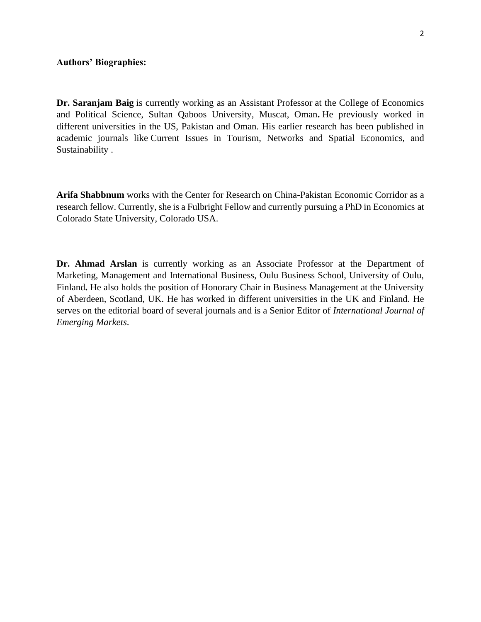**Dr. Saranjam Baig** is currently working as an Assistant Professor at the College of Economics and Political Science, Sultan Qaboos University, Muscat, Oman**.** He previously worked in different universities in the US, Pakistan and Oman. His earlier research has been published in academic journals like Current Issues in Tourism, Networks and Spatial Economics, and Sustainability .

**Arifa Shabbnum** works with the Center for Research on China-Pakistan Economic Corridor as a research fellow. Currently, she is a Fulbright Fellow and currently pursuing a PhD in Economics at Colorado State University, Colorado USA.

**Dr. Ahmad Arslan** is currently working as an Associate Professor at the Department of Marketing, Management and International Business, Oulu Business School, University of Oulu, Finland**.** He also holds the position of Honorary Chair in Business Management at the University of Aberdeen, Scotland, UK. He has worked in different universities in the UK and Finland. He serves on the editorial board of several journals and is a Senior Editor of *International Journal of Emerging Markets*.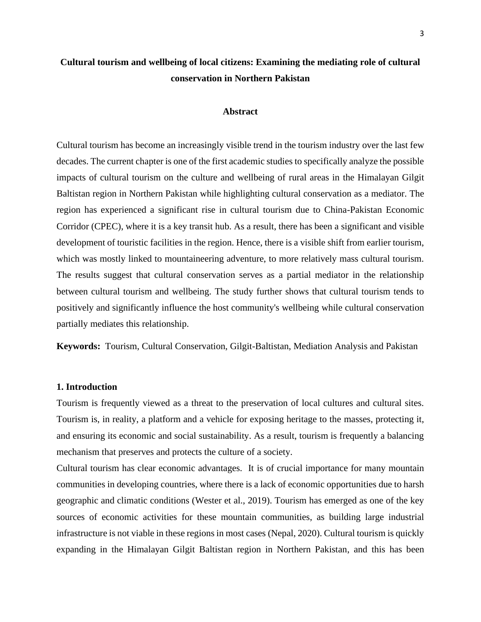# **Cultural tourism and wellbeing of local citizens: Examining the mediating role of cultural conservation in Northern Pakistan**

#### **Abstract**

Cultural tourism has become an increasingly visible trend in the tourism industry over the last few decades. The current chapter is one of the first academic studies to specifically analyze the possible impacts of cultural tourism on the culture and wellbeing of rural areas in the Himalayan Gilgit Baltistan region in Northern Pakistan while highlighting cultural conservation as a mediator. The region has experienced a significant rise in cultural tourism due to China-Pakistan Economic Corridor (CPEC), where it is a key transit hub. As a result, there has been a significant and visible development of touristic facilities in the region. Hence, there is a visible shift from earlier tourism, which was mostly linked to mountaineering adventure, to more relatively mass cultural tourism. The results suggest that cultural conservation serves as a partial mediator in the relationship between cultural tourism and wellbeing. The study further shows that cultural tourism tends to positively and significantly influence the host community's wellbeing while cultural conservation partially mediates this relationship.

**Keywords:** Tourism, Cultural Conservation, Gilgit-Baltistan, Mediation Analysis and Pakistan

#### **1. Introduction**

Tourism is frequently viewed as a threat to the preservation of local cultures and cultural sites. Tourism is, in reality, a platform and a vehicle for exposing heritage to the masses, protecting it, and ensuring its economic and social sustainability. As a result, tourism is frequently a balancing mechanism that preserves and protects the culture of a society.

Cultural tourism has clear economic advantages. It is of crucial importance for many mountain communities in developing countries, where there is a lack of economic opportunities due to harsh geographic and climatic conditions (Wester et al., 2019). Tourism has emerged as one of the key sources of economic activities for these mountain communities, as building large industrial infrastructure is not viable in these regions in most cases (Nepal, 2020). Cultural tourism is quickly expanding in the Himalayan Gilgit Baltistan region in Northern Pakistan, and this has been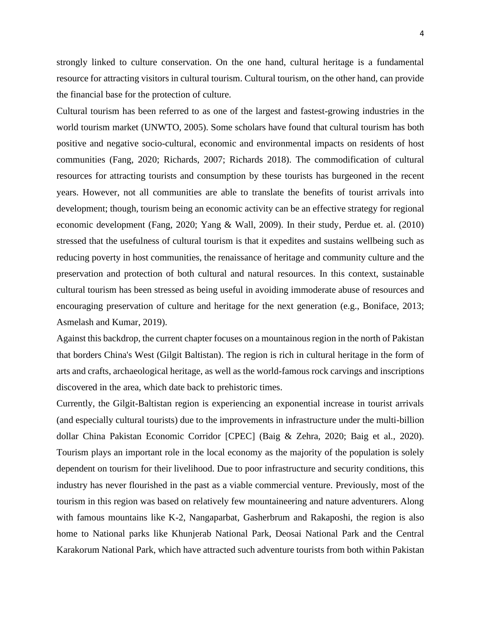strongly linked to culture conservation. On the one hand, cultural heritage is a fundamental resource for attracting visitors in cultural tourism. Cultural tourism, on the other hand, can provide the financial base for the protection of culture.

Cultural tourism has been referred to as one of the largest and fastest-growing industries in the world tourism market (UNWTO, 2005). Some scholars have found that cultural tourism has both positive and negative socio-cultural, economic and environmental impacts on residents of host communities (Fang, 2020; Richards, 2007; Richards 2018). The commodification of cultural resources for attracting tourists and consumption by these tourists has burgeoned in the recent years. However, not all communities are able to translate the benefits of tourist arrivals into development; though, tourism being an economic activity can be an effective strategy for regional economic development (Fang, 2020; Yang & Wall, 2009). In their study, Perdue et. al. (2010) stressed that the usefulness of cultural tourism is that it expedites and sustains wellbeing such as reducing poverty in host communities, the renaissance of heritage and community culture and the preservation and protection of both cultural and natural resources. In this context, sustainable cultural tourism has been stressed as being useful in avoiding immoderate abuse of resources and encouraging preservation of culture and heritage for the next generation (e.g., Boniface, 2013; Asmelash and Kumar, 2019).

Against this backdrop, the current chapter focuses on a mountainous region in the north of Pakistan that borders China's West (Gilgit Baltistan). The region is rich in cultural heritage in the form of arts and crafts, archaeological heritage, as well as the world-famous rock carvings and inscriptions discovered in the area, which date back to prehistoric times.

Currently, the Gilgit-Baltistan region is experiencing an exponential increase in tourist arrivals (and especially cultural tourists) due to the improvements in infrastructure under the multi-billion dollar China Pakistan Economic Corridor [CPEC] (Baig & Zehra, 2020; Baig et al., 2020). Tourism plays an important role in the local economy as the majority of the population is solely dependent on tourism for their livelihood. Due to poor infrastructure and security conditions, this industry has never flourished in the past as a viable commercial venture. Previously, most of the tourism in this region was based on relatively few mountaineering and nature adventurers. Along with famous mountains like K-2, Nangaparbat, Gasherbrum and Rakaposhi, the region is also home to National parks like Khunjerab National Park, Deosai National Park and the Central Karakorum National Park, which have attracted such adventure tourists from both within Pakistan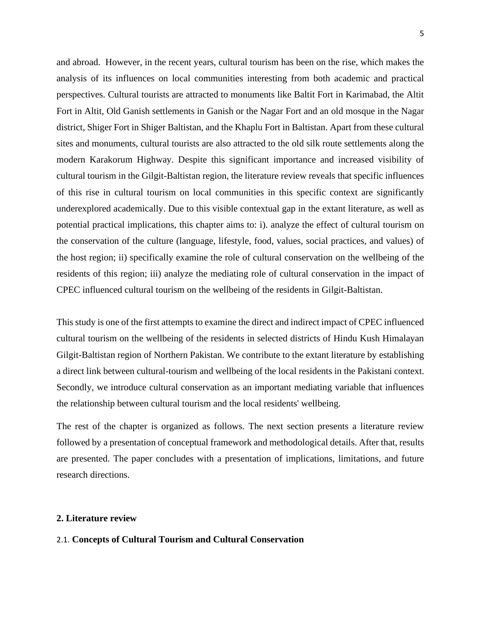and abroad. However, in the recent years, cultural tourism has been on the rise, which makes the analysis of its influences on local communities interesting from both academic and practical perspectives. Cultural tourists are attracted to monuments like Baltit Fort in Karimabad, the Altit Fort in Altit, Old Ganish settlements in Ganish or the Nagar Fort and an old mosque in the Nagar district, Shiger Fort in Shiger Baltistan, and the Khaplu Fort in Baltistan. Apart from these cultural sites and monuments, cultural tourists are also attracted to the old silk route settlements along the modern Karakorum Highway. Despite this significant importance and increased visibility of cultural tourism in the Gilgit-Baltistan region, the literature review reveals that specific influences of this rise in cultural tourism on local communities in this specific context are significantly underexplored academically. Due to this visible contextual gap in the extant literature, as well as potential practical implications, this chapter aims to: i). analyze the effect of cultural tourism on the conservation of the culture (language, lifestyle, food, values, social practices, and values) of the host region; ii) specifically examine the role of cultural conservation on the wellbeing of the residents of this region; iii) analyze the mediating role of cultural conservation in the impact of CPEC influenced cultural tourism on the wellbeing of the residents in Gilgit-Baltistan.

This study is one of the first attempts to examine the direct and indirect impact of CPEC influenced cultural tourism on the wellbeing of the residents in selected districts of Hindu Kush Himalayan Gilgit-Baltistan region of Northern Pakistan. We contribute to the extant literature by establishing a direct link between cultural-tourism and wellbeing of the local residents in the Pakistani context. Secondly, we introduce cultural conservation as an important mediating variable that influences the relationship between cultural tourism and the local residents' wellbeing.

The rest of the chapter is organized as follows. The next section presents a literature review followed by a presentation of conceptual framework and methodological details. After that, results are presented. The paper concludes with a presentation of implications, limitations, and future research directions.

#### **2. Literature review**

### 2.1. **Concepts of Cultural Tourism and Cultural Conservation**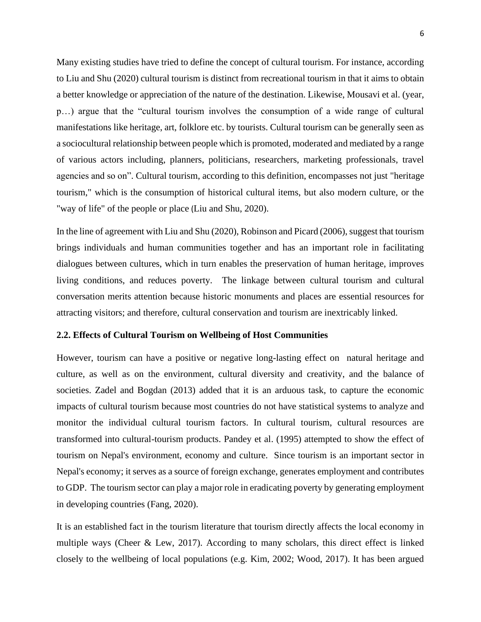Many existing studies have tried to define the concept of cultural tourism. For instance, according to Liu and Shu (2020) cultural tourism is distinct from recreational tourism in that it aims to obtain a better knowledge or appreciation of the nature of the destination. Likewise, Mousavi et al. (year, p…) argue that the "cultural tourism involves the consumption of a wide range of cultural manifestations like heritage, art, folklore etc. by tourists. Cultural tourism can be generally seen as a sociocultural relationship between people which is promoted, moderated and mediated by a range of various actors including, planners, politicians, researchers, marketing professionals, travel agencies and so on". Cultural tourism, according to this definition, encompasses not just "heritage tourism," which is the consumption of historical cultural items, but also modern culture, or the "way of life" of the people or place (Liu and Shu, 2020).

In the line of agreement with Liu and Shu (2020), Robinson and Picard (2006), suggest that tourism brings individuals and human communities together and has an important role in facilitating dialogues between cultures, which in turn enables the preservation of human heritage, improves living conditions, and reduces poverty. The linkage between cultural tourism and cultural conversation merits attention because historic monuments and places are essential resources for attracting visitors; and therefore, cultural conservation and tourism are inextricably linked.

#### **2.2. Effects of Cultural Tourism on Wellbeing of Host Communities**

However, tourism can have a positive or negative long-lasting effect on natural heritage and culture, as well as on the environment, cultural diversity and creativity, and the balance of societies. Zadel and Bogdan (2013) added that it is an arduous task, to capture the economic impacts of cultural tourism because most countries do not have statistical systems to analyze and monitor the individual cultural tourism factors. In cultural tourism, cultural resources are transformed into cultural-tourism products. Pandey et al. (1995) attempted to show the effect of tourism on Nepal's environment, economy and culture. Since tourism is an important sector in Nepal's economy; it serves as a source of foreign exchange, generates employment and contributes to GDP. The tourism sector can play a major role in eradicating poverty by generating employment in developing countries (Fang, 2020).

It is an established fact in the tourism literature that tourism directly affects the local economy in multiple ways (Cheer  $\&$  Lew, 2017). According to many scholars, this direct effect is linked closely to the wellbeing of local populations (e.g. Kim, 2002; Wood, 2017). It has been argued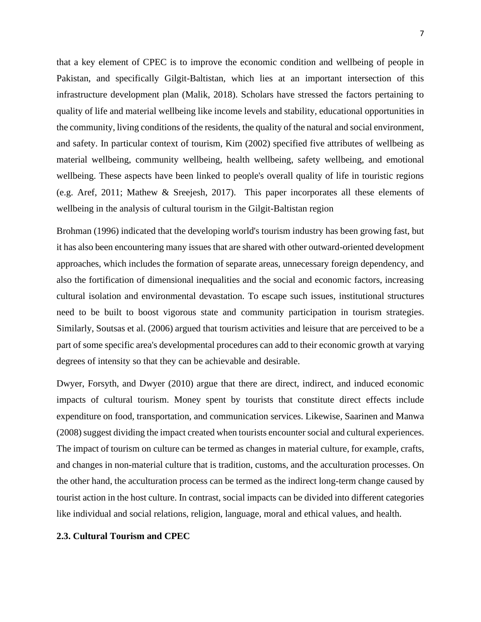that a key element of CPEC is to improve the economic condition and wellbeing of people in Pakistan, and specifically Gilgit-Baltistan, which lies at an important intersection of this infrastructure development plan (Malik, 2018). Scholars have stressed the factors pertaining to quality of life and material wellbeing like income levels and stability, educational opportunities in the community, living conditions of the residents, the quality of the natural and social environment, and safety. In particular context of tourism, Kim (2002) specified five attributes of wellbeing as material wellbeing, community wellbeing, health wellbeing, safety wellbeing, and emotional wellbeing. These aspects have been linked to people's overall quality of life in touristic regions (e.g. Aref, 2011; Mathew & Sreejesh, 2017). This paper incorporates all these elements of wellbeing in the analysis of cultural tourism in the Gilgit-Baltistan region

Brohman (1996) indicated that the developing world's tourism industry has been growing fast, but it has also been encountering many issues that are shared with other outward-oriented development approaches, which includes the formation of separate areas, unnecessary foreign dependency, and also the fortification of dimensional inequalities and the social and economic factors, increasing cultural isolation and environmental devastation. To escape such issues, institutional structures need to be built to boost vigorous state and community participation in tourism strategies. Similarly, Soutsas et al. (2006) argued that tourism activities and leisure that are perceived to be a part of some specific area's developmental procedures can add to their economic growth at varying degrees of intensity so that they can be achievable and desirable.

Dwyer, Forsyth, and Dwyer (2010) argue that there are direct, indirect, and induced economic impacts of cultural tourism. Money spent by tourists that constitute direct effects include expenditure on food, transportation, and communication services. Likewise, Saarinen and Manwa (2008) suggest dividing the impact created when tourists encounter social and cultural experiences. The impact of tourism on culture can be termed as changes in material culture, for example, crafts, and changes in non-material culture that is tradition, customs, and the acculturation processes. On the other hand, the acculturation process can be termed as the indirect long-term change caused by tourist action in the host culture. In contrast, social impacts can be divided into different categories like individual and social relations, religion, language, moral and ethical values, and health.

## **2.3. Cultural Tourism and CPEC**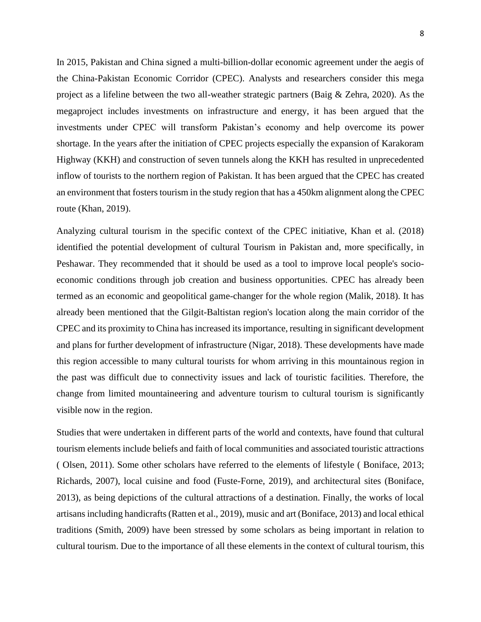In 2015, Pakistan and China signed a multi-billion-dollar economic agreement under the aegis of the China-Pakistan Economic Corridor (CPEC). Analysts and researchers consider this mega project as a lifeline between the two all-weather strategic partners (Baig & Zehra, 2020). As the megaproject includes investments on infrastructure and energy, it has been argued that the investments under CPEC will transform Pakistan's economy and help overcome its power shortage. In the years after the initiation of CPEC projects especially the expansion of Karakoram Highway (KKH) and construction of seven tunnels along the KKH has resulted in unprecedented inflow of tourists to the northern region of Pakistan. It has been argued that the CPEC has created an environment that fosters tourism in the study region that has a 450km alignment along the CPEC route (Khan, 2019).

Analyzing cultural tourism in the specific context of the CPEC initiative, Khan et al. (2018) identified the potential development of cultural Tourism in Pakistan and, more specifically, in Peshawar. They recommended that it should be used as a tool to improve local people's socioeconomic conditions through job creation and business opportunities. CPEC has already been termed as an economic and geopolitical game-changer for the whole region (Malik, 2018). It has already been mentioned that the Gilgit-Baltistan region's location along the main corridor of the CPEC and its proximity to China has increased its importance, resulting in significant development and plans for further development of infrastructure (Nigar, 2018). These developments have made this region accessible to many cultural tourists for whom arriving in this mountainous region in the past was difficult due to connectivity issues and lack of touristic facilities. Therefore, the change from limited mountaineering and adventure tourism to cultural tourism is significantly visible now in the region.

Studies that were undertaken in different parts of the world and contexts, have found that cultural tourism elements include beliefs and faith of local communities and associated touristic attractions ( Olsen, 2011). Some other scholars have referred to the elements of lifestyle ( Boniface, 2013; Richards, 2007), local cuisine and food (Fuste-Forne, 2019), and architectural sites (Boniface, 2013), as being depictions of the cultural attractions of a destination. Finally, the works of local artisans including handicrafts (Ratten et al., 2019), music and art (Boniface, 2013) and local ethical traditions (Smith, 2009) have been stressed by some scholars as being important in relation to cultural tourism. Due to the importance of all these elements in the context of cultural tourism, this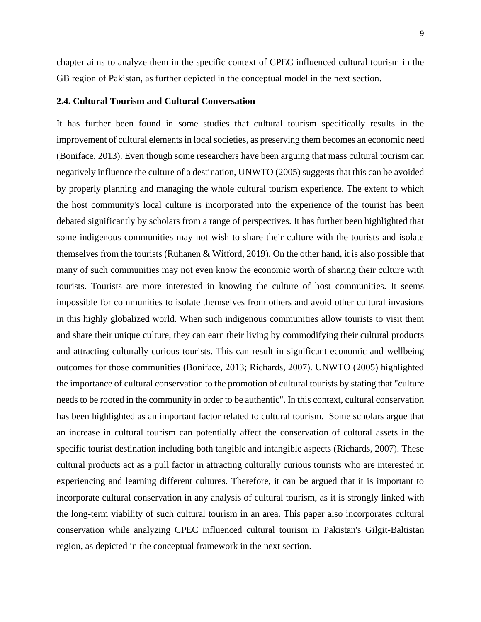chapter aims to analyze them in the specific context of CPEC influenced cultural tourism in the GB region of Pakistan, as further depicted in the conceptual model in the next section.

#### **2.4. Cultural Tourism and Cultural Conversation**

It has further been found in some studies that cultural tourism specifically results in the improvement of cultural elements in local societies, as preserving them becomes an economic need (Boniface, 2013). Even though some researchers have been arguing that mass cultural tourism can negatively influence the culture of a destination, UNWTO (2005) suggests that this can be avoided by properly planning and managing the whole cultural tourism experience. The extent to which the host community's local culture is incorporated into the experience of the tourist has been debated significantly by scholars from a range of perspectives. It has further been highlighted that some indigenous communities may not wish to share their culture with the tourists and isolate themselves from the tourists (Ruhanen & Witford, 2019). On the other hand, it is also possible that many of such communities may not even know the economic worth of sharing their culture with tourists. Tourists are more interested in knowing the culture of host communities. It seems impossible for communities to isolate themselves from others and avoid other cultural invasions in this highly globalized world. When such indigenous communities allow tourists to visit them and share their unique culture, they can earn their living by commodifying their cultural products and attracting culturally curious tourists. This can result in significant economic and wellbeing outcomes for those communities (Boniface, 2013; Richards, 2007). UNWTO (2005) highlighted the importance of cultural conservation to the promotion of cultural tourists by stating that "culture needs to be rooted in the community in order to be authentic". In this context, cultural conservation has been highlighted as an important factor related to cultural tourism. Some scholars argue that an increase in cultural tourism can potentially affect the conservation of cultural assets in the specific tourist destination including both tangible and intangible aspects (Richards, 2007). These cultural products act as a pull factor in attracting culturally curious tourists who are interested in experiencing and learning different cultures. Therefore, it can be argued that it is important to incorporate cultural conservation in any analysis of cultural tourism, as it is strongly linked with the long-term viability of such cultural tourism in an area. This paper also incorporates cultural conservation while analyzing CPEC influenced cultural tourism in Pakistan's Gilgit-Baltistan region, as depicted in the conceptual framework in the next section.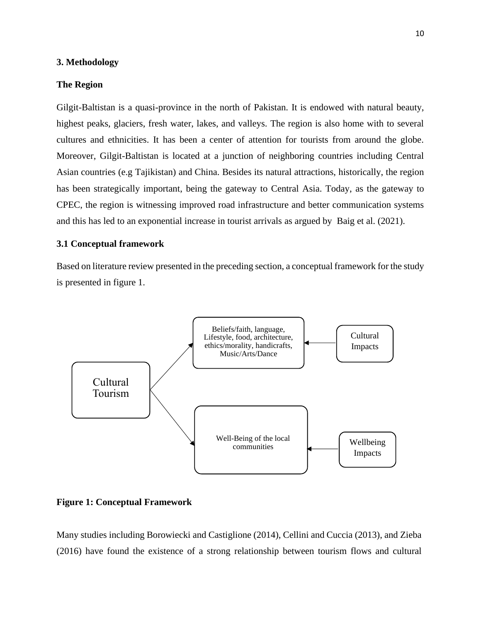#### **3. Methodology**

#### **The Region**

Gilgit-Baltistan is a quasi-province in the north of Pakistan. It is endowed with natural beauty, highest peaks, glaciers, fresh water, lakes, and valleys. The region is also home with to several cultures and ethnicities. It has been a center of attention for tourists from around the globe. Moreover, Gilgit-Baltistan is located at a junction of neighboring countries including Central Asian countries (e.g Tajikistan) and China. Besides its natural attractions, historically, the region has been strategically important, being the gateway to Central Asia. Today, as the gateway to CPEC, the region is witnessing improved road infrastructure and better communication systems and this has led to an exponential increase in tourist arrivals as argued by Baig et al. (2021).

#### **3.1 Conceptual framework**

Based on literature review presented in the preceding section, a conceptual framework for the study is presented in figure 1.



**Figure 1: Conceptual Framework** 

Many studies including Borowiecki and Castiglione (2014), Cellini and Cuccia (2013), and Zieba (2016) have found the existence of a strong relationship between tourism flows and cultural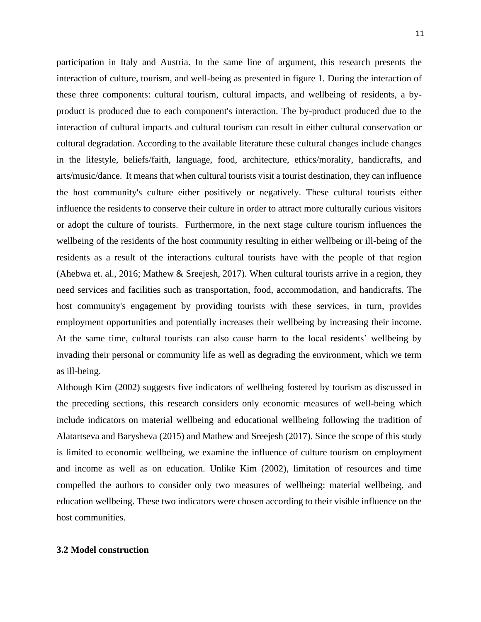participation in Italy and Austria. In the same line of argument, this research presents the interaction of culture, tourism, and well-being as presented in figure 1. During the interaction of these three components: cultural tourism, cultural impacts, and wellbeing of residents, a byproduct is produced due to each component's interaction. The by-product produced due to the interaction of cultural impacts and cultural tourism can result in either cultural conservation or cultural degradation. According to the available literature these cultural changes include changes in the lifestyle, beliefs/faith, language, food, architecture, ethics/morality, handicrafts, and arts/music/dance. It means that when cultural tourists visit a tourist destination, they can influence the host community's culture either positively or negatively. These cultural tourists either influence the residents to conserve their culture in order to attract more culturally curious visitors or adopt the culture of tourists. Furthermore, in the next stage culture tourism influences the wellbeing of the residents of the host community resulting in either wellbeing or ill-being of the residents as a result of the interactions cultural tourists have with the people of that region (Ahebwa et. al., 2016; Mathew & Sreejesh, 2017). When cultural tourists arrive in a region, they need services and facilities such as transportation, food, accommodation, and handicrafts. The host community's engagement by providing tourists with these services, in turn, provides employment opportunities and potentially increases their wellbeing by increasing their income. At the same time, cultural tourists can also cause harm to the local residents' wellbeing by invading their personal or community life as well as degrading the environment, which we term as ill-being.

Although Kim (2002) suggests five indicators of wellbeing fostered by tourism as discussed in the preceding sections, this research considers only economic measures of well-being which include indicators on material wellbeing and educational wellbeing following the tradition of Alatartseva and Barysheva (2015) and Mathew and Sreejesh (2017). Since the scope of this study is limited to economic wellbeing, we examine the influence of culture tourism on employment and income as well as on education. Unlike Kim (2002), limitation of resources and time compelled the authors to consider only two measures of wellbeing: material wellbeing, and education wellbeing. These two indicators were chosen according to their visible influence on the host communities.

### **3.2 Model construction**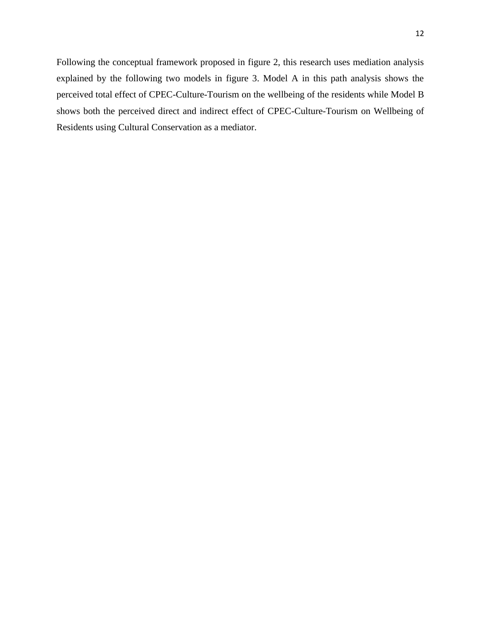Following the conceptual framework proposed in figure 2, this research uses mediation analysis explained by the following two models in figure 3. Model A in this path analysis shows the

perceived total effect of CPEC-Culture-Tourism on the wellbeing of the residents while Model B shows both the perceived direct and indirect effect of CPEC-Culture-Tourism on Wellbeing of Residents using Cultural Conservation as a mediator.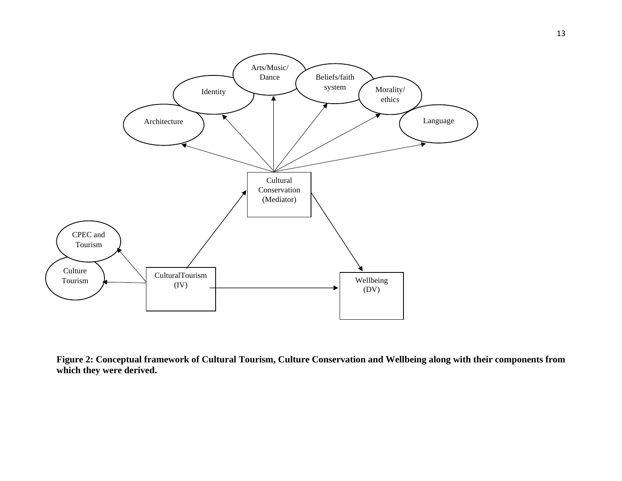

**Figure 2: Conceptual framework of Cultural Tourism, Culture Conservation and Wellbeing along with their components from which they were derived.**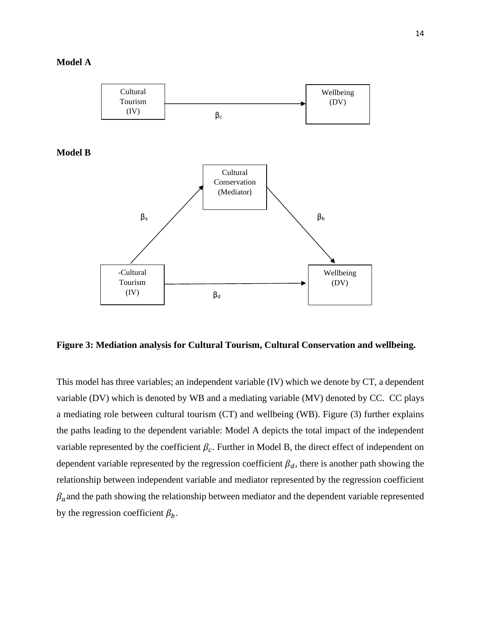#### **Model A**



**Figure 3: Mediation analysis for Cultural Tourism, Cultural Conservation and wellbeing.** 

This model has three variables; an independent variable (IV) which we denote by CT, a dependent variable (DV) which is denoted by WB and a mediating variable (MV) denoted by CC. CC plays a mediating role between cultural tourism (CT) and wellbeing (WB). Figure (3) further explains the paths leading to the dependent variable: Model A depicts the total impact of the independent variable represented by the coefficient  $\beta_c$ . Further in Model B, the direct effect of independent on dependent variable represented by the regression coefficient  $\beta_d$ , there is another path showing the relationship between independent variable and mediator represented by the regression coefficient  $\beta_a$  and the path showing the relationship between mediator and the dependent variable represented by the regression coefficient  $\beta_b$ .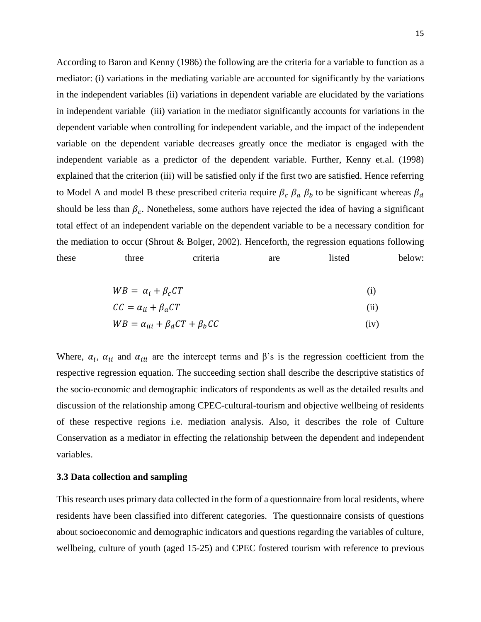According to Baron and Kenny (1986) the following are the criteria for a variable to function as a mediator: (i) variations in the mediating variable are accounted for significantly by the variations in the independent variables (ii) variations in dependent variable are elucidated by the variations in independent variable (iii) variation in the mediator significantly accounts for variations in the dependent variable when controlling for independent variable, and the impact of the independent variable on the dependent variable decreases greatly once the mediator is engaged with the independent variable as a predictor of the dependent variable. Further, Kenny et.al. (1998) explained that the criterion (iii) will be satisfied only if the first two are satisfied. Hence referring to Model A and model B these prescribed criteria require  $\beta_c$   $\beta_a$   $\beta_b$  to be significant whereas  $\beta_d$ should be less than  $\beta_c$ . Nonetheless, some authors have rejected the idea of having a significant total effect of an independent variable on the dependent variable to be a necessary condition for the mediation to occur (Shrout & Bolger, 2002). Henceforth, the regression equations following these three criteria are listed below:

$$
WB = \alpha_i + \beta_c CT \tag{i}
$$

$$
CC = \alpha_{ii} + \beta_a CT \tag{ii}
$$

$$
WB = \alpha_{iii} + \beta_a CT + \beta_b CC \tag{iv}
$$

Where,  $\alpha_i$ ,  $\alpha_{ii}$  and  $\alpha_{iii}$  are the intercept terms and  $\beta$ 's is the regression coefficient from the respective regression equation. The succeeding section shall describe the descriptive statistics of the socio-economic and demographic indicators of respondents as well as the detailed results and discussion of the relationship among CPEC-cultural-tourism and objective wellbeing of residents of these respective regions i.e. mediation analysis. Also, it describes the role of Culture Conservation as a mediator in effecting the relationship between the dependent and independent variables.

## **3.3 Data collection and sampling**

This research uses primary data collected in the form of a questionnaire from local residents, where residents have been classified into different categories. The questionnaire consists of questions about socioeconomic and demographic indicators and questions regarding the variables of culture, wellbeing, culture of youth (aged 15-25) and CPEC fostered tourism with reference to previous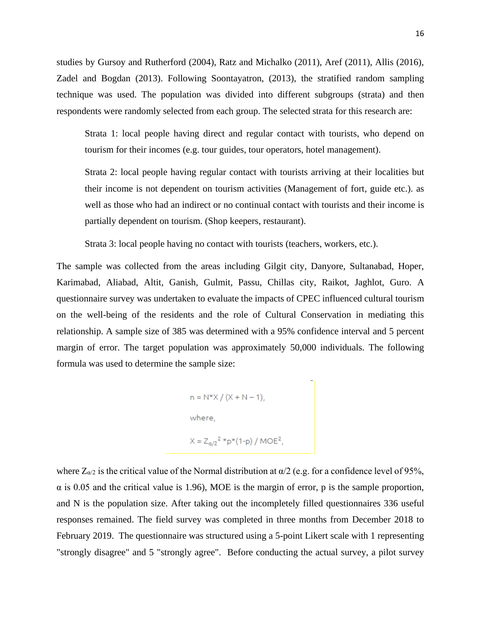studies by Gursoy and Rutherford (2004), Ratz and Michalko (2011), Aref (2011), Allis (2016), Zadel and Bogdan (2013). Following Soontayatron, (2013), the stratified random sampling technique was used. The population was divided into different subgroups (strata) and then respondents were randomly selected from each group. The selected strata for this research are:

Strata 1: local people having direct and regular contact with tourists, who depend on tourism for their incomes (e.g. tour guides, tour operators, hotel management).

Strata 2: local people having regular contact with tourists arriving at their localities but their income is not dependent on tourism activities (Management of fort, guide etc.). as well as those who had an indirect or no continual contact with tourists and their income is partially dependent on tourism. (Shop keepers, restaurant).

Strata 3: local people having no contact with tourists (teachers, workers, etc.).

The sample was collected from the areas including Gilgit city, Danyore, Sultanabad, Hoper, Karimabad, Aliabad, Altit, Ganish, Gulmit, Passu, Chillas city, Raikot, Jaghlot, Guro. A questionnaire survey was undertaken to evaluate the impacts of CPEC influenced cultural tourism on the well-being of the residents and the role of Cultural Conservation in mediating this relationship. A sample size of 385 was determined with a 95% confidence interval and 5 percent margin of error. The target population was approximately 50,000 individuals. The following formula was used to determine the sample size:

n = N\*X / (X + N – 1),  
where,  

$$
X = Z_{a/2}^{2} * p * (1-p) / MOE^{2},
$$

where  $Z_{\alpha/2}$  is the critical value of the Normal distribution at  $\alpha/2$  (e.g. for a confidence level of 95%,  $\alpha$  is 0.05 and the critical value is 1.96), MOE is the margin of error, p is the sample proportion, and N is the population size. After taking out the incompletely filled questionnaires 336 useful responses remained. The field survey was completed in three months from December 2018 to February 2019. The questionnaire was structured using a 5-point Likert scale with 1 representing "strongly disagree" and 5 "strongly agree". Before conducting the actual survey, a pilot survey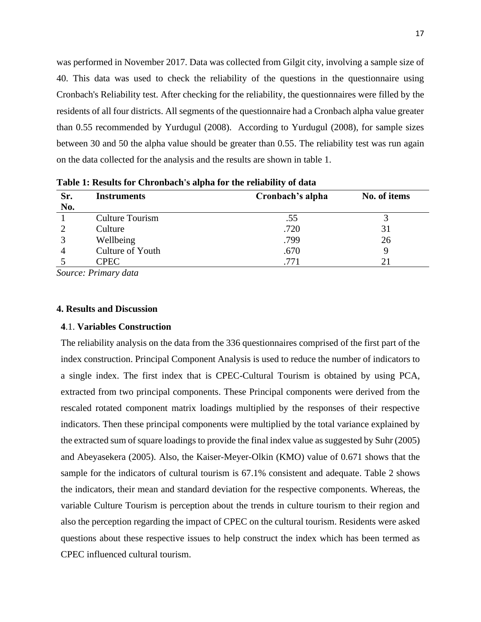was performed in November 2017. Data was collected from Gilgit city, involving a sample size of 40. This data was used to check the reliability of the questions in the questionnaire using Cronbach's Reliability test. After checking for the reliability, the questionnaires were filled by the residents of all four districts. All segments of the questionnaire had a Cronbach alpha value greater than 0.55 recommended by Yurdugul (2008). According to Yurdugul (2008), for sample sizes between 30 and 50 the alpha value should be greater than 0.55. The reliability test was run again on the data collected for the analysis and the results are shown in table 1.

| Sr.<br>No. | <b>Instruments</b> | Cronbach's alpha | No. of items |
|------------|--------------------|------------------|--------------|
|            | Culture Tourism    | .55              |              |
|            | Culture            | .720             | 31           |
| っ          | Wellbeing          | .799             | 26           |
|            | Culture of Youth   | .670             |              |
|            | CPEC               |                  | 21           |

**Table 1: Results for Chronbach's alpha for the reliability of data**

*Source: Primary data*

#### **4. Results and Discussion**

#### **4**.1. **Variables Construction**

The reliability analysis on the data from the 336 questionnaires comprised of the first part of the index construction. Principal Component Analysis is used to reduce the number of indicators to a single index. The first index that is CPEC-Cultural Tourism is obtained by using PCA, extracted from two principal components. These Principal components were derived from the rescaled rotated component matrix loadings multiplied by the responses of their respective indicators. Then these principal components were multiplied by the total variance explained by the extracted sum of square loadings to provide the final index value as suggested by Suhr (2005) and Abeyasekera (2005). Also, the Kaiser-Meyer-Olkin (KMO) value of 0.671 shows that the sample for the indicators of cultural tourism is 67.1% consistent and adequate. Table 2 shows the indicators, their mean and standard deviation for the respective components. Whereas, the variable Culture Tourism is perception about the trends in culture tourism to their region and also the perception regarding the impact of CPEC on the cultural tourism. Residents were asked questions about these respective issues to help construct the index which has been termed as CPEC influenced cultural tourism.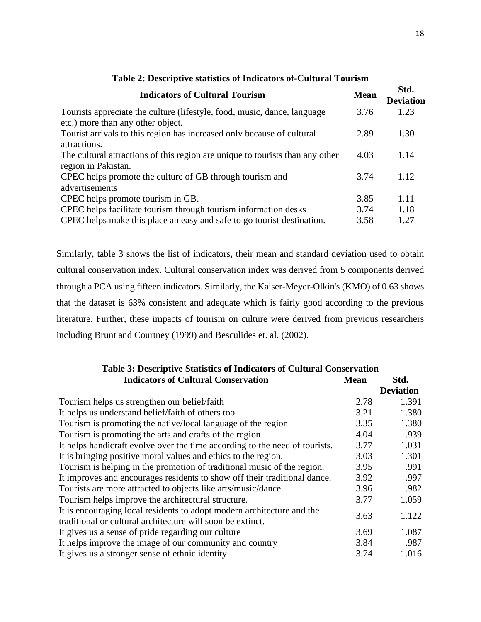| <b>Indicators of Cultural Tourism</b>                                                                         | <b>Mean</b> | Std.<br><b>Deviation</b> |
|---------------------------------------------------------------------------------------------------------------|-------------|--------------------------|
| Tourists appreciate the culture (lifestyle, food, music, dance, language<br>etc.) more than any other object. | 3.76        | 1.23                     |
| Tourist arrivals to this region has increased only because of cultural<br>attractions.                        | 2.89        | 1.30                     |
| The cultural attractions of this region are unique to tourists than any other<br>region in Pakistan.          | 4.03        | 1.14                     |
| CPEC helps promote the culture of GB through tourism and<br>advertisements                                    | 3.74        | 1.12                     |
| CPEC helps promote tourism in GB.                                                                             | 3.85        | 1.11                     |
| CPEC helps facilitate tourism through tourism information desks                                               | 3.74        | 1.18                     |
| CPEC helps make this place an easy and safe to go tourist destination.                                        | 3.58        | 1.27                     |

Similarly, table 3 shows the list of indicators, their mean and standard deviation used to obtain cultural conservation index. Cultural conservation index was derived from 5 components derived through a PCA using fifteen indicators. Similarly, the Kaiser-Meyer-Olkin's (KMO) of 0.63 shows that the dataset is 63% consistent and adequate which is fairly good according to the previous literature. Further, these impacts of tourism on culture were derived from previous researchers including Brunt and Courtney (1999) and Besculides et. al. (2002).

| Table 3: Descriptive Statistics of Indicators of Cultural Conservation                                                               |      |                  |  |
|--------------------------------------------------------------------------------------------------------------------------------------|------|------------------|--|
| <b>Indicators of Cultural Conservation</b>                                                                                           |      | Std.             |  |
|                                                                                                                                      |      | <b>Deviation</b> |  |
| Tourism helps us strengthen our belief/faith                                                                                         | 2.78 | 1.391            |  |
| It helps us understand belief/faith of others too                                                                                    | 3.21 | 1.380            |  |
| Tourism is promoting the native/local language of the region                                                                         | 3.35 | 1.380            |  |
| Tourism is promoting the arts and crafts of the region                                                                               | 4.04 | .939             |  |
| It helps handicraft evolve over the time according to the need of tourists.                                                          | 3.77 | 1.031            |  |
| It is bringing positive moral values and ethics to the region.                                                                       | 3.03 | 1.301            |  |
| Tourism is helping in the promotion of traditional music of the region.                                                              | 3.95 | .991             |  |
| It improves and encourages residents to show off their traditional dance.                                                            | 3.92 | .997             |  |
| Tourists are more attracted to objects like arts/music/dance.                                                                        | 3.96 | .982             |  |
| Tourism helps improve the architectural structure.                                                                                   | 3.77 | 1.059            |  |
| It is encouraging local residents to adopt modern architecture and the<br>traditional or cultural architecture will soon be extinct. | 3.63 | 1.122            |  |
| It gives us a sense of pride regarding our culture                                                                                   | 3.69 | 1.087            |  |
| It helps improve the image of our community and country                                                                              | 3.84 | .987             |  |
| It gives us a stronger sense of ethnic identity                                                                                      | 3.74 | 1.016            |  |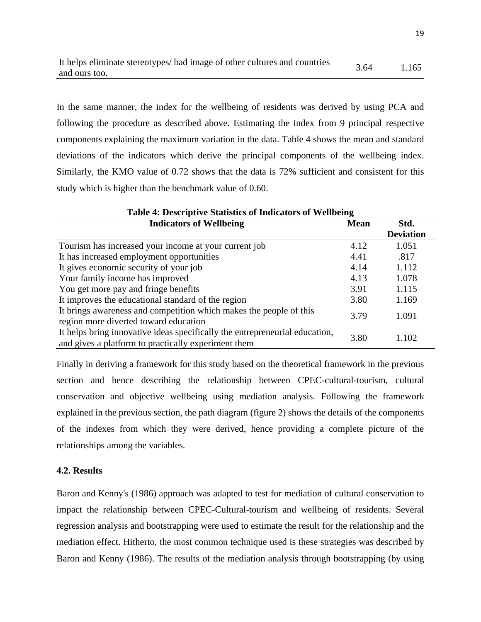| It helps eliminate stereotypes/bad image of other cultures and countries | 3.64 | 1.165 |
|--------------------------------------------------------------------------|------|-------|
| and ours too.                                                            |      |       |

In the same manner, the index for the wellbeing of residents was derived by using PCA and following the procedure as described above. Estimating the index from 9 principal respective components explaining the maximum variation in the data. Table 4 shows the mean and standard deviations of the indicators which derive the principal components of the wellbeing index. Similarly, the KMO value of 0.72 shows that the data is 72% sufficient and consistent for this study which is higher than the benchmark value of 0.60.

| <b>Table 4: Descriptive Statistics of Indicators of Wellbeing</b>                                                                  |      |                  |  |
|------------------------------------------------------------------------------------------------------------------------------------|------|------------------|--|
| <b>Indicators of Wellbeing</b>                                                                                                     |      | Std.             |  |
|                                                                                                                                    |      | <b>Deviation</b> |  |
| Tourism has increased your income at your current job                                                                              | 4.12 | 1.051            |  |
| It has increased employment opportunities                                                                                          | 4.41 | .817             |  |
| It gives economic security of your job                                                                                             |      | 1.112            |  |
| Your family income has improved                                                                                                    |      | 1.078            |  |
| You get more pay and fringe benefits                                                                                               |      | 1.115            |  |
| It improves the educational standard of the region                                                                                 |      | 1.169            |  |
| It brings awareness and competition which makes the people of this<br>region more diverted toward education                        |      | 1.091            |  |
| It helps bring innovative ideas specifically the entrepreneurial education,<br>and gives a platform to practically experiment them |      | 1.102            |  |

Finally in deriving a framework for this study based on the theoretical framework in the previous section and hence describing the relationship between CPEC-cultural-tourism, cultural conservation and objective wellbeing using mediation analysis. Following the framework explained in the previous section, the path diagram (figure 2) shows the details of the components of the indexes from which they were derived, hence providing a complete picture of the relationships among the variables.

## **4.2. Results**

Baron and Kenny's (1986) approach was adapted to test for mediation of cultural conservation to impact the relationship between CPEC-Cultural-tourism and wellbeing of residents. Several regression analysis and bootstrapping were used to estimate the result for the relationship and the mediation effect. Hitherto, the most common technique used is these strategies was described by Baron and Kenny (1986). The results of the mediation analysis through bootstrapping (by using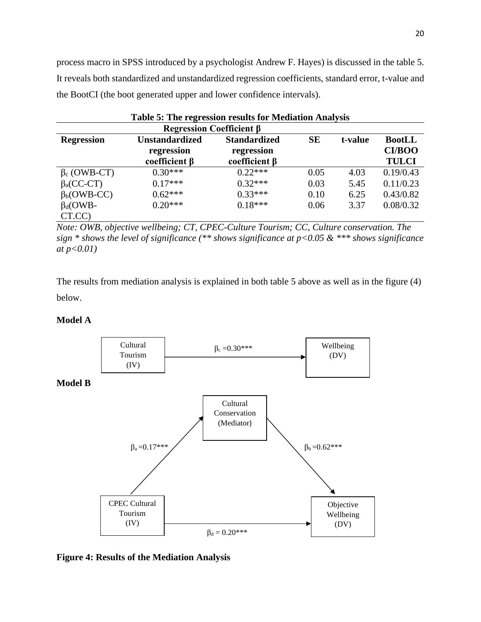process macro in SPSS introduced by a psychologist Andrew F. Hayes) is discussed in the table 5. It reveals both standardized and unstandardized regression coefficients, standard error, t-value and the BootCI (the boot generated upper and lower confidence intervals).

| Table 5: The regression results for Mediation Analysis |                       |                     |           |         |               |
|--------------------------------------------------------|-----------------------|---------------------|-----------|---------|---------------|
| Regression Coefficient $\beta$                         |                       |                     |           |         |               |
| <b>Regression</b>                                      | <b>Unstandardized</b> | <b>Standardized</b> | <b>SE</b> | t-value | <b>BootLL</b> |
|                                                        | regression            | regression          |           |         | <b>CI/BOO</b> |
|                                                        | coefficient $\beta$   | coefficient $\beta$ |           |         | <b>TULCI</b>  |
| $\beta_c$ (OWB-CT)                                     | $0.30***$             | $0.22***$           | 0.05      | 4.03    | 0.19/0.43     |
| $\beta$ <sub>a</sub> (CC-CT)                           | $0.17***$             | $0.32***$           | 0.03      | 5.45    | 0.11/0.23     |
| $\beta_b$ (OWB-CC)                                     | $0.62***$             | $0.33***$           | 0.10      | 6.25    | 0.43/0.82     |
| $\beta_d$ (OWB-                                        | $0.20***$             | $0.18***$           | 0.06      | 3.37    | 0.08/0.32     |
| CT.CC)                                                 |                       |                     |           |         |               |

*Note: OWB, objective wellbeing; CT, CPEC-Culture Tourism; CC, Culture conservation. The sign \* shows the level of significance (\*\* shows significance at p<0.05 & \*\*\* shows significance at p<0.01)*

The results from mediation analysis is explained in both table 5 above as well as in the figure (4) below.

## **Model A**



**Figure 4: Results of the Mediation Analysis**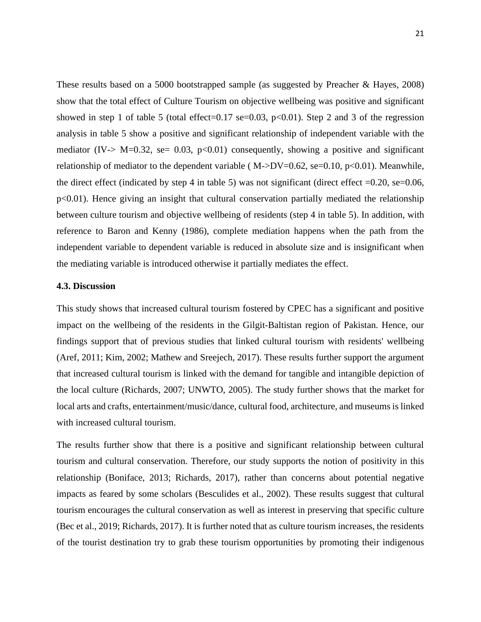These results based on a 5000 bootstrapped sample (as suggested by Preacher & Hayes, 2008) show that the total effect of Culture Tourism on objective wellbeing was positive and significant showed in step 1 of table 5 (total effect=0.17 se=0.03,  $p<0.01$ ). Step 2 and 3 of the regression analysis in table 5 show a positive and significant relationship of independent variable with the mediator (IV-> M=0.32, se= 0.03, p<0.01) consequently, showing a positive and significant relationship of mediator to the dependent variable ( $M$ ->DV=0.62, se=0.10, p<0.01). Meanwhile, the direct effect (indicated by step 4 in table 5) was not significant (direct effect  $=0.20$ , se $=0.06$ , p<0.01). Hence giving an insight that cultural conservation partially mediated the relationship between culture tourism and objective wellbeing of residents (step 4 in table 5). In addition, with reference to Baron and Kenny (1986), complete mediation happens when the path from the independent variable to dependent variable is reduced in absolute size and is insignificant when the mediating variable is introduced otherwise it partially mediates the effect.

#### **4.3. Discussion**

This study shows that increased cultural tourism fostered by CPEC has a significant and positive impact on the wellbeing of the residents in the Gilgit-Baltistan region of Pakistan. Hence, our findings support that of previous studies that linked cultural tourism with residents' wellbeing (Aref, 2011; Kim, 2002; Mathew and Sreejech, 2017). These results further support the argument that increased cultural tourism is linked with the demand for tangible and intangible depiction of the local culture (Richards, 2007; UNWTO, 2005). The study further shows that the market for local arts and crafts, entertainment/music/dance, cultural food, architecture, and museums is linked with increased cultural tourism.

The results further show that there is a positive and significant relationship between cultural tourism and cultural conservation. Therefore, our study supports the notion of positivity in this relationship (Boniface, 2013; Richards, 2017), rather than concerns about potential negative impacts as feared by some scholars (Besculides et al., 2002). These results suggest that cultural tourism encourages the cultural conservation as well as interest in preserving that specific culture (Bec et al., 2019; Richards, 2017). It is further noted that as culture tourism increases, the residents of the tourist destination try to grab these tourism opportunities by promoting their indigenous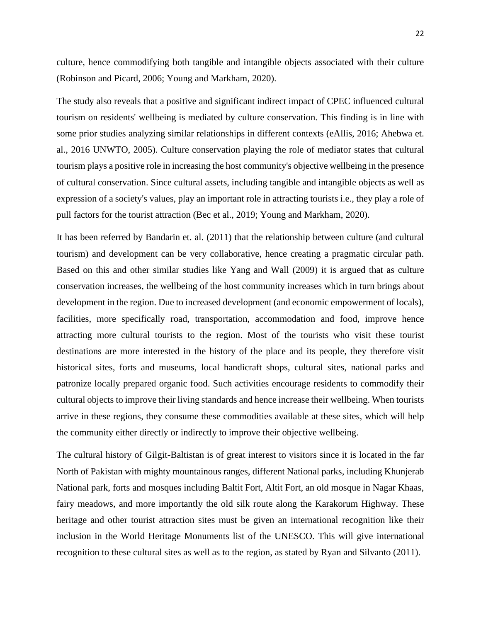culture, hence commodifying both tangible and intangible objects associated with their culture (Robinson and Picard, 2006; Young and Markham, 2020).

The study also reveals that a positive and significant indirect impact of CPEC influenced cultural tourism on residents' wellbeing is mediated by culture conservation. This finding is in line with some prior studies analyzing similar relationships in different contexts (eAllis, 2016; Ahebwa et. al., 2016 UNWTO, 2005). Culture conservation playing the role of mediator states that cultural tourism plays a positive role in increasing the host community's objective wellbeing in the presence of cultural conservation. Since cultural assets, including tangible and intangible objects as well as expression of a society's values, play an important role in attracting tourists i.e., they play a role of pull factors for the tourist attraction (Bec et al., 2019; Young and Markham, 2020).

It has been referred by Bandarin et. al. (2011) that the relationship between culture (and cultural tourism) and development can be very collaborative, hence creating a pragmatic circular path. Based on this and other similar studies like Yang and Wall (2009) it is argued that as culture conservation increases, the wellbeing of the host community increases which in turn brings about development in the region. Due to increased development (and economic empowerment of locals), facilities, more specifically road, transportation, accommodation and food, improve hence attracting more cultural tourists to the region. Most of the tourists who visit these tourist destinations are more interested in the history of the place and its people, they therefore visit historical sites, forts and museums, local handicraft shops, cultural sites, national parks and patronize locally prepared organic food. Such activities encourage residents to commodify their cultural objects to improve their living standards and hence increase their wellbeing. When tourists arrive in these regions, they consume these commodities available at these sites, which will help the community either directly or indirectly to improve their objective wellbeing.

The cultural history of Gilgit-Baltistan is of great interest to visitors since it is located in the far North of Pakistan with mighty mountainous ranges, different National parks, including Khunjerab National park, forts and mosques including Baltit Fort, Altit Fort, an old mosque in Nagar Khaas, fairy meadows, and more importantly the old silk route along the Karakorum Highway. These heritage and other tourist attraction sites must be given an international recognition like their inclusion in the World Heritage Monuments list of the UNESCO. This will give international recognition to these cultural sites as well as to the region, as stated by Ryan and Silvanto (2011).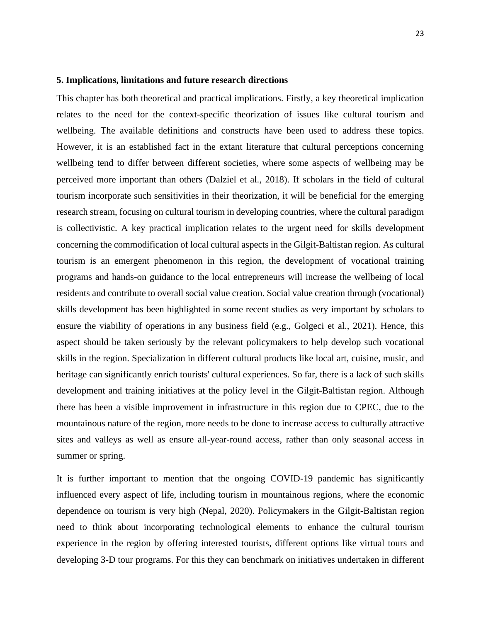#### **5. Implications, limitations and future research directions**

This chapter has both theoretical and practical implications. Firstly, a key theoretical implication relates to the need for the context-specific theorization of issues like cultural tourism and wellbeing. The available definitions and constructs have been used to address these topics. However, it is an established fact in the extant literature that cultural perceptions concerning wellbeing tend to differ between different societies, where some aspects of wellbeing may be perceived more important than others (Dalziel et al., 2018). If scholars in the field of cultural tourism incorporate such sensitivities in their theorization, it will be beneficial for the emerging research stream, focusing on cultural tourism in developing countries, where the cultural paradigm is collectivistic. A key practical implication relates to the urgent need for skills development concerning the commodification of local cultural aspects in the Gilgit-Baltistan region. As cultural tourism is an emergent phenomenon in this region, the development of vocational training programs and hands-on guidance to the local entrepreneurs will increase the wellbeing of local residents and contribute to overall social value creation. Social value creation through (vocational) skills development has been highlighted in some recent studies as very important by scholars to ensure the viability of operations in any business field (e.g., Golgeci et al., 2021). Hence, this aspect should be taken seriously by the relevant policymakers to help develop such vocational skills in the region. Specialization in different cultural products like local art, cuisine, music, and heritage can significantly enrich tourists' cultural experiences. So far, there is a lack of such skills development and training initiatives at the policy level in the Gilgit-Baltistan region. Although there has been a visible improvement in infrastructure in this region due to CPEC, due to the mountainous nature of the region, more needs to be done to increase access to culturally attractive sites and valleys as well as ensure all-year-round access, rather than only seasonal access in summer or spring.

It is further important to mention that the ongoing COVID-19 pandemic has significantly influenced every aspect of life, including tourism in mountainous regions, where the economic dependence on tourism is very high (Nepal, 2020). Policymakers in the Gilgit-Baltistan region need to think about incorporating technological elements to enhance the cultural tourism experience in the region by offering interested tourists, different options like virtual tours and developing 3-D tour programs. For this they can benchmark on initiatives undertaken in different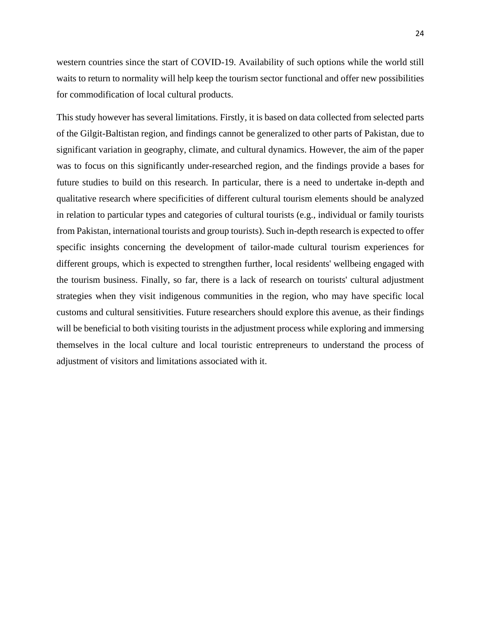western countries since the start of COVID-19. Availability of such options while the world still waits to return to normality will help keep the tourism sector functional and offer new possibilities for commodification of local cultural products.

This study however has several limitations. Firstly, it is based on data collected from selected parts of the Gilgit-Baltistan region, and findings cannot be generalized to other parts of Pakistan, due to significant variation in geography, climate, and cultural dynamics. However, the aim of the paper was to focus on this significantly under-researched region, and the findings provide a bases for future studies to build on this research. In particular, there is a need to undertake in-depth and qualitative research where specificities of different cultural tourism elements should be analyzed in relation to particular types and categories of cultural tourists (e.g., individual or family tourists from Pakistan, international tourists and group tourists). Such in-depth research is expected to offer specific insights concerning the development of tailor-made cultural tourism experiences for different groups, which is expected to strengthen further, local residents' wellbeing engaged with the tourism business. Finally, so far, there is a lack of research on tourists' cultural adjustment strategies when they visit indigenous communities in the region, who may have specific local customs and cultural sensitivities. Future researchers should explore this avenue, as their findings will be beneficial to both visiting tourists in the adjustment process while exploring and immersing themselves in the local culture and local touristic entrepreneurs to understand the process of adjustment of visitors and limitations associated with it.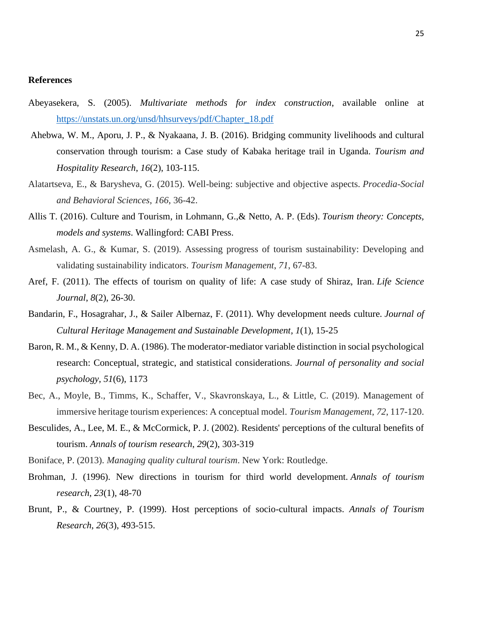#### **References**

- Abeyasekera, S. (2005). *Multivariate methods for index construction*, available online at [https://unstats.un.org/unsd/hhsurveys/pdf/Chapter\\_18.pdf](https://unstats.un.org/unsd/hhsurveys/pdf/Chapter_18.pdf)
- Ahebwa, W. M., Aporu, J. P., & Nyakaana, J. B. (2016). Bridging community livelihoods and cultural conservation through tourism: a Case study of Kabaka heritage trail in Uganda. *Tourism and Hospitality Research*, *16*(2), 103-115.
- Alatartseva, E., & Barysheva, G. (2015). Well-being: subjective and objective aspects. *Procedia-Social and Behavioral Sciences*, *166*, 36-42.
- Allis T. (2016). Culture and Tourism, in Lohmann, G.,& Netto, A. P. (Eds). *Tourism theory: Concepts, models and systems*. Wallingford: CABI Press.
- Asmelash, A. G., & Kumar, S. (2019). Assessing progress of tourism sustainability: Developing and validating sustainability indicators. *Tourism Management*, *71*, 67-83.
- Aref, F. (2011). The effects of tourism on quality of life: A case study of Shiraz, Iran. *Life Science Journal*, *8*(2), 26-30.
- Bandarin, F., Hosagrahar, J., & Sailer Albernaz, F. (2011). Why development needs culture. *Journal of Cultural Heritage Management and Sustainable Development*, *1*(1), 15-25
- Baron, R. M., & Kenny, D. A. (1986). The moderator-mediator variable distinction in social psychological research: Conceptual, strategic, and statistical considerations. *Journal of personality and social psychology*, *51*(6), 1173
- Bec, A., Moyle, B., Timms, K., Schaffer, V., Skavronskaya, L., & Little, C. (2019). Management of immersive heritage tourism experiences: A conceptual model. *Tourism Management*, *72*, 117-120.
- Besculides, A., Lee, M. E., & McCormick, P. J. (2002). Residents' perceptions of the cultural benefits of tourism. *Annals of tourism research*, *29*(2), 303-319
- Boniface, P. (2013). *Managing quality cultural tourism*. New York: Routledge.
- Brohman, J. (1996). New directions in tourism for third world development. *Annals of tourism research*, *23*(1), 48-70
- Brunt, P., & Courtney, P. (1999). Host perceptions of socio-cultural impacts. *Annals of Tourism Research*, *26*(3), 493-515.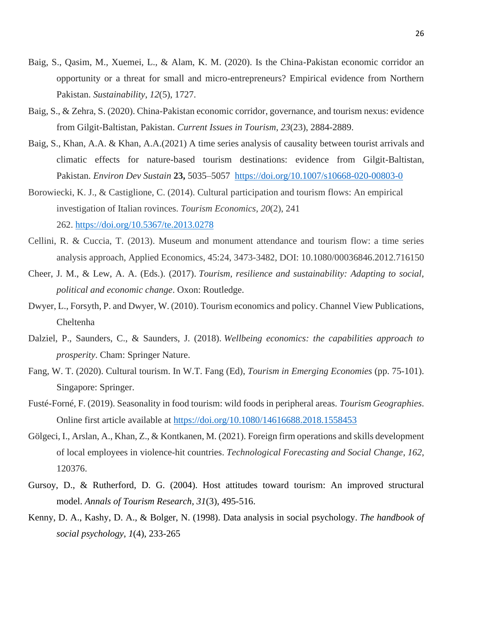- Baig, S., Qasim, M., Xuemei, L., & Alam, K. M. (2020). Is the China-Pakistan economic corridor an opportunity or a threat for small and micro-entrepreneurs? Empirical evidence from Northern Pakistan. *Sustainability*, *12*(5), 1727.
- Baig, S., & Zehra, S. (2020). China-Pakistan economic corridor, governance, and tourism nexus: evidence from Gilgit-Baltistan, Pakistan. *Current Issues in Tourism*, *23*(23), 2884-2889.
- Baig, S., Khan, A.A. & Khan, A.A.(2021) A time series analysis of causality between tourist arrivals and climatic effects for nature-based tourism destinations: evidence from Gilgit-Baltistan, Pakistan. *Environ Dev Sustain* **23,** 5035–5057 <https://doi.org/10.1007/s10668-020-00803-0>
- Borowiecki, K. J., & Castiglione, C. (2014). Cultural participation and tourism flows: An empirical investigation of Italian rovinces. *Tourism Economics*, *20*(2), 241 262. <https://doi.org/10.5367/te.2013.0278>
- Cellini, R. & Cuccia, T. (2013). Museum and monument attendance and tourism flow: a time series analysis approach, Applied Economics, 45:24, 3473-3482, DOI: 10.1080/00036846.2012.716150
- Cheer, J. M., & Lew, A. A. (Eds.). (2017). *Tourism, resilience and sustainability: Adapting to social, political and economic change*. Oxon: Routledge.
- Dwyer, L., Forsyth, P. and Dwyer, W. (2010). Tourism economics and policy. Channel View Publications, Cheltenha
- Dalziel, P., Saunders, C., & Saunders, J. (2018). *Wellbeing economics: the capabilities approach to prosperity*. Cham: Springer Nature.
- Fang, W. T. (2020). Cultural tourism. In W.T. Fang (Ed), *Tourism in Emerging Economies* (pp. 75-101). Singapore: Springer.
- Fusté-Forné, F. (2019). Seasonality in food tourism: wild foods in peripheral areas. *Tourism Geographies*. Online first article available at<https://doi.org/10.1080/14616688.2018.1558453>
- Gölgeci, I., Arslan, A., Khan, Z., & Kontkanen, M. (2021). Foreign firm operations and skills development of local employees in violence-hit countries. *Technological Forecasting and Social Change*, *162*, 120376.
- Gursoy, D., & Rutherford, D. G. (2004). Host attitudes toward tourism: An improved structural model. *Annals of Tourism Research*, *31*(3), 495-516.
- Kenny, D. A., Kashy, D. A., & Bolger, N. (1998). Data analysis in social psychology. *The handbook of social psychology*, *1*(4), 233-265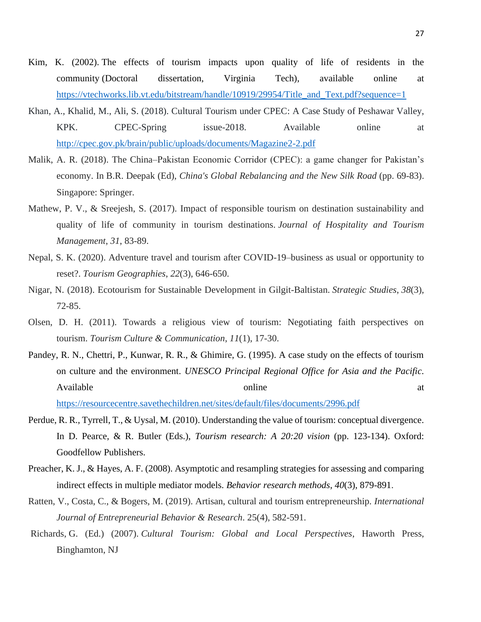- Kim, K. (2002). The effects of tourism impacts upon quality of life of residents in the community (Doctoral dissertation, Virginia Tech), available online at [https://vtechworks.lib.vt.edu/bitstream/handle/10919/29954/Title\\_and\\_Text.pdf?sequence=1](https://vtechworks.lib.vt.edu/bitstream/handle/10919/29954/Title_and_Text.pdf?sequence=1)
- Khan, A., Khalid, M., Ali, S. (2018). Cultural Tourism under CPEC: A Case Study of Peshawar Valley, KPK. CPEC-Spring issue-2018. Available online at <http://cpec.gov.pk/brain/public/uploads/documents/Magazine2-2.pdf>
- Malik, A. R. (2018). The China–Pakistan Economic Corridor (CPEC): a game changer for Pakistan's economy. In B.R. Deepak (Ed), *China's Global Rebalancing and the New Silk Road* (pp. 69-83). Singapore: Springer.
- Mathew, P. V., & Sreejesh, S. (2017). Impact of responsible tourism on destination sustainability and quality of life of community in tourism destinations. *Journal of Hospitality and Tourism Management*, *31*, 83-89.
- Nepal, S. K. (2020). Adventure travel and tourism after COVID-19–business as usual or opportunity to reset?. *Tourism Geographies*, *22*(3), 646-650.
- Nigar, N. (2018). Ecotourism for Sustainable Development in Gilgit-Baltistan. *Strategic Studies*, *38*(3), 72-85.
- Olsen, D. H. (2011). Towards a religious view of tourism: Negotiating faith perspectives on tourism. *Tourism Culture & Communication*, *11*(1), 17-30.
- Pandey, R. N., Chettri, P., Kunwar, R. R., & Ghimire, G. (1995). A case study on the effects of tourism on culture and the environment. *UNESCO Principal Regional Office for Asia and the Pacific.*  Available at a set online at a set of  $\alpha$  at a set of  $\alpha$  at a set of  $\alpha$  at a set of  $\alpha$  at a set of  $\alpha$  at a set of  $\alpha$  at a set of  $\alpha$  at a set of  $\alpha$  at  $\alpha$  and  $\alpha$  at  $\alpha$  and  $\alpha$  at  $\alpha$  and  $\alpha$  at  $\alpha$  a

<https://resourcecentre.savethechildren.net/sites/default/files/documents/2996.pdf>

- Perdue, R. R., Tyrrell, T., & Uysal, M. (2010). Understanding the value of tourism: conceptual divergence. In D. Pearce, & R. Butler (Eds.), *Tourism research: A 20:20 vision* (pp. 123-134). Oxford: Goodfellow Publishers.
- Preacher, K. J., & Hayes, A. F. (2008). Asymptotic and resampling strategies for assessing and comparing indirect effects in multiple mediator models. *Behavior research methods*, *40*(3), 879-891.
- Ratten, V., Costa, C., & Bogers, M. (2019). Artisan, cultural and tourism entrepreneurship. *International Journal of Entrepreneurial Behavior & Research*. 25(4), 582-591.
- Richards, G. (Ed.) (2007). *Cultural Tourism: Global and Local Perspectives*, Haworth Press, Binghamton, NJ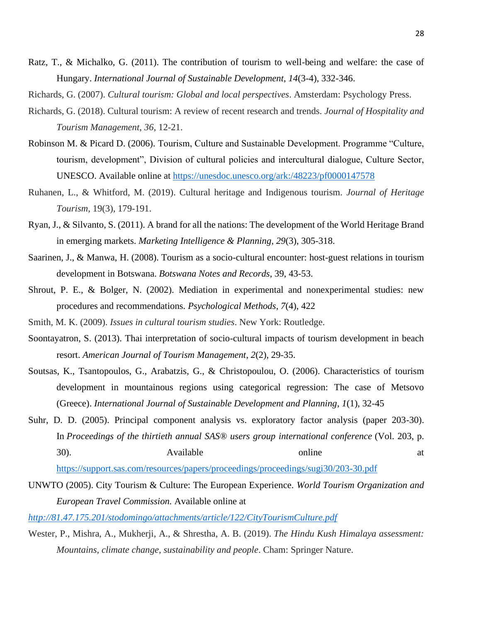- Ratz, T., & Michalko, G. (2011). The contribution of tourism to well-being and welfare: the case of Hungary. *International Journal of Sustainable Development*, *14*(3-4), 332-346.
- Richards, G. (2007). *Cultural tourism: Global and local perspectives*. Amsterdam: Psychology Press.
- Richards, G. (2018). Cultural tourism: A review of recent research and trends. *Journal of Hospitality and Tourism Management*, *36*, 12-21.
- Robinson M. & Picard D. (2006). Tourism, Culture and Sustainable Development. Programme "Culture, tourism, development", Division of cultural policies and intercultural dialogue, Culture Sector, UNESCO. Available online at<https://unesdoc.unesco.org/ark:/48223/pf0000147578>
- Ruhanen, L., & Whitford, M. (2019). Cultural heritage and Indigenous tourism. *Journal of Heritage Tourism,* 19(3), 179-191.
- Ryan, J., & Silvanto, S. (2011). A brand for all the nations: The development of the World Heritage Brand in emerging markets. *Marketing Intelligence & Planning*, *29*(3), 305-318.
- Saarinen, J., & Manwa, H. (2008). Tourism as a socio-cultural encounter: host-guest relations in tourism development in Botswana. *Botswana Notes and Records*, 39, 43-53.
- Shrout, P. E., & Bolger, N. (2002). Mediation in experimental and nonexperimental studies: new procedures and recommendations. *Psychological Methods*, *7*(4), 422
- Smith, M. K. (2009). *Issues in cultural tourism studies*. New York: Routledge.
- Soontayatron, S. (2013). Thai interpretation of socio-cultural impacts of tourism development in beach resort. *American Journal of Tourism Management*, *2*(2), 29-35.
- Soutsas, K., Tsantopoulos, G., Arabatzis, G., & Christopoulou, O. (2006). Characteristics of tourism development in mountainous regions using categorical regression: The case of Metsovo (Greece). *International Journal of Sustainable Development and Planning*, *1*(1), 32-45
- Suhr, D. D. (2005). Principal component analysis vs. exploratory factor analysis (paper 203-30). In *Proceedings of the thirtieth annual SAS® users group international conference* (Vol. 203, p. 30). Available online at

<https://support.sas.com/resources/papers/proceedings/proceedings/sugi30/203-30.pdf>

UNWTO (2005). City Tourism & Culture: The European Experience. *World Tourism Organization and European Travel Commission.* Available online at

*<http://81.47.175.201/stodomingo/attachments/article/122/CityTourismCulture.pdf>*

Wester, P., Mishra, A., Mukherji, A., & Shrestha, A. B. (2019). *The Hindu Kush Himalaya assessment: Mountains, climate change, sustainability and people*. Cham: Springer Nature.